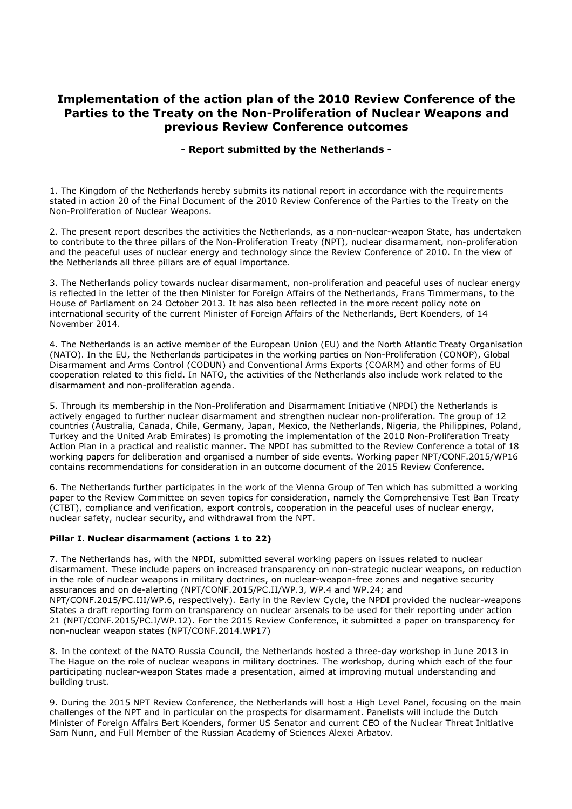# **Implementation of the action plan of the 2010 Review Conference of the Parties to the Treaty on the Non-Proliferation of Nuclear Weapons and previous Review Conference outcomes**

## **- Report submitted by the Netherlands -**

1. The Kingdom of the Netherlands hereby submits its national report in accordance with the requirements stated in action 20 of the Final Document of the 2010 Review Conference of the Parties to the Treaty on the Non-Proliferation of Nuclear Weapons.

2. The present report describes the activities the Netherlands, as a non-nuclear-weapon State, has undertaken to contribute to the three pillars of the Non-Proliferation Treaty (NPT), nuclear disarmament, non-proliferation and the peaceful uses of nuclear energy and technology since the Review Conference of 2010. In the view of the Netherlands all three pillars are of equal importance.

3. The Netherlands policy towards nuclear disarmament, non-proliferation and peaceful uses of nuclear energy is reflected in the letter of the then Minister for Foreign Affairs of the Netherlands, Frans Timmermans, to the House of Parliament on 24 October 2013. It has also been reflected in the more recent policy note on international security of the current Minister of Foreign Affairs of the Netherlands, Bert Koenders, of 14 November 2014.

4. The Netherlands is an active member of the European Union (EU) and the North Atlantic Treaty Organisation (NATO). In the EU, the Netherlands participates in the working parties on Non-Proliferation (CONOP), Global Disarmament and Arms Control (CODUN) and Conventional Arms Exports (COARM) and other forms of EU cooperation related to this field. In NATO, the activities of the Netherlands also include work related to the disarmament and non-proliferation agenda.

5. Through its membership in the Non-Proliferation and Disarmament Initiative (NPDI) the Netherlands is actively engaged to further nuclear disarmament and strengthen nuclear non-proliferation. The group of 12 countries (Australia, Canada, Chile, Germany, Japan, Mexico, the Netherlands, Nigeria, the Philippines, Poland, Turkey and the United Arab Emirates) is promoting the implementation of the 2010 Non-Proliferation Treaty Action Plan in a practical and realistic manner. The NPDI has submitted to the Review Conference a total of 18 working papers for deliberation and organised a number of side events. Working paper NPT/CONF.2015/WP16 contains recommendations for consideration in an outcome document of the 2015 Review Conference.

6. The Netherlands further participates in the work of the Vienna Group of Ten which has submitted a working paper to the Review Committee on seven topics for consideration, namely the Comprehensive Test Ban Treaty (CTBT), compliance and verification, export controls, cooperation in the peaceful uses of nuclear energy, nuclear safety, nuclear security, and withdrawal from the NPT.

## **Pillar I. Nuclear disarmament (actions 1 to 22)**

7. The Netherlands has, with the NPDI, submitted several working papers on issues related to nuclear disarmament. These include papers on increased transparency on non-strategic nuclear weapons, on reduction in the role of nuclear weapons in military doctrines, on nuclear-weapon-free zones and negative security assurances and on de-alerting (NPT/CONF.2015/PC.II/WP.3, WP.4 and WP.24; and NPT/CONF.2015/PC.III/WP.6, respectively). Early in the Review Cycle, the NPDI provided the nuclear-weapons States a draft reporting form on transparency on nuclear arsenals to be used for their reporting under action 21 (NPT/CONF.2015/PC.I/WP.12). For the 2015 Review Conference, it submitted a paper on transparency for non-nuclear weapon states (NPT/CONF.2014.WP17)

8. In the context of the NATO Russia Council, the Netherlands hosted a three-day workshop in June 2013 in The Hague on the role of nuclear weapons in military doctrines. The workshop, during which each of the four participating nuclear-weapon States made a presentation, aimed at improving mutual understanding and building trust.

9. During the 2015 NPT Review Conference, the Netherlands will host a High Level Panel, focusing on the main challenges of the NPT and in particular on the prospects for disarmament. Panelists will include the Dutch Minister of Foreign Affairs Bert Koenders, former US Senator and current CEO of the Nuclear Threat Initiative Sam Nunn, and Full Member of the Russian Academy of Sciences Alexei Arbatov.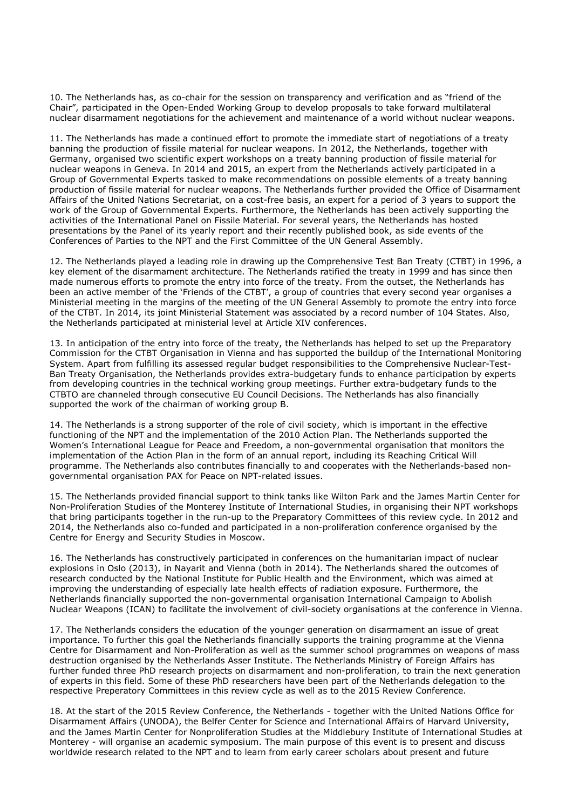10. The Netherlands has, as co-chair for the session on transparency and verification and as "friend of the Chair", participated in the Open-Ended Working Group to develop proposals to take forward multilateral nuclear disarmament negotiations for the achievement and maintenance of a world without nuclear weapons.

11. The Netherlands has made a continued effort to promote the immediate start of negotiations of a treaty banning the production of fissile material for nuclear weapons. In 2012, the Netherlands, together with Germany, organised two scientific expert workshops on a treaty banning production of fissile material for nuclear weapons in Geneva. In 2014 and 2015, an expert from the Netherlands actively participated in a Group of Governmental Experts tasked to make recommendations on possible elements of a treaty banning production of fissile material for nuclear weapons. The Netherlands further provided the Office of Disarmament Affairs of the United Nations Secretariat, on a cost-free basis, an expert for a period of 3 years to support the work of the Group of Governmental Experts. Furthermore, the Netherlands has been actively supporting the activities of the International Panel on Fissile Material. For several years, the Netherlands has hosted presentations by the Panel of its yearly report and their recently published book, as side events of the Conferences of Parties to the NPT and the First Committee of the UN General Assembly.

12. The Netherlands played a leading role in drawing up the Comprehensive Test Ban Treaty (CTBT) in 1996, a key element of the disarmament architecture. The Netherlands ratified the treaty in 1999 and has since then made numerous efforts to promote the entry into force of the treaty. From the outset, the Netherlands has been an active member of the 'Friends of the CTBT', a group of countries that every second year organises a Ministerial meeting in the margins of the meeting of the UN General Assembly to promote the entry into force of the CTBT. In 2014, its joint Ministerial Statement was associated by a record number of 104 States. Also, the Netherlands participated at ministerial level at Article XIV conferences.

13. In anticipation of the entry into force of the treaty, the Netherlands has helped to set up the Preparatory Commission for the CTBT Organisation in Vienna and has supported the buildup of the International Monitoring System. Apart from fulfilling its assessed regular budget responsibilities to the Comprehensive Nuclear-Test-Ban Treaty Organisation, the Netherlands provides extra-budgetary funds to enhance participation by experts from developing countries in the technical working group meetings. Further extra-budgetary funds to the CTBTO are channeled through consecutive EU Council Decisions. The Netherlands has also financially supported the work of the chairman of working group B.

14. The Netherlands is a strong supporter of the role of civil society, which is important in the effective functioning of the NPT and the implementation of the 2010 Action Plan. The Netherlands supported the Women's International League for Peace and Freedom, a non-governmental organisation that monitors the implementation of the Action Plan in the form of an annual report, including its Reaching Critical Will programme. The Netherlands also contributes financially to and cooperates with the Netherlands-based nongovernmental organisation PAX for Peace on NPT-related issues.

15. The Netherlands provided financial support to think tanks like Wilton Park and the James Martin Center for Non-Proliferation Studies of the Monterey Institute of International Studies, in organising their NPT workshops that bring participants together in the run-up to the Preparatory Committees of this review cycle. In 2012 and 2014, the Netherlands also co-funded and participated in a non-proliferation conference organised by the Centre for Energy and Security Studies in Moscow.

16. The Netherlands has constructively participated in conferences on the humanitarian impact of nuclear explosions in Oslo (2013), in Nayarit and Vienna (both in 2014). The Netherlands shared the outcomes of research conducted by the National Institute for Public Health and the Environment, which was aimed at improving the understanding of especially late health effects of radiation exposure. Furthermore, the Netherlands financially supported the non-governmental organisation International Campaign to Abolish Nuclear Weapons (ICAN) to facilitate the involvement of civil-society organisations at the conference in Vienna.

17. The Netherlands considers the education of the younger generation on disarmament an issue of great importance. To further this goal the Netherlands financially supports the training programme at the Vienna Centre for Disarmament and Non-Proliferation as well as the summer school programmes on weapons of mass destruction organised by the Netherlands Asser Institute. The Netherlands Ministry of Foreign Affairs has further funded three PhD research projects on disarmament and non-proliferation, to train the next generation of experts in this field. Some of these PhD researchers have been part of the Netherlands delegation to the respective Preperatory Committees in this review cycle as well as to the 2015 Review Conference.

18. At the start of the 2015 Review Conference, the Netherlands - together with the United Nations Office for Disarmament Affairs (UNODA), the Belfer Center for Science and International Affairs of Harvard University, and the James Martin Center for Nonproliferation Studies at the Middlebury Institute of International Studies at Monterey - will organise an academic symposium. The main purpose of this event is to present and discuss worldwide research related to the NPT and to learn from early career scholars about present and future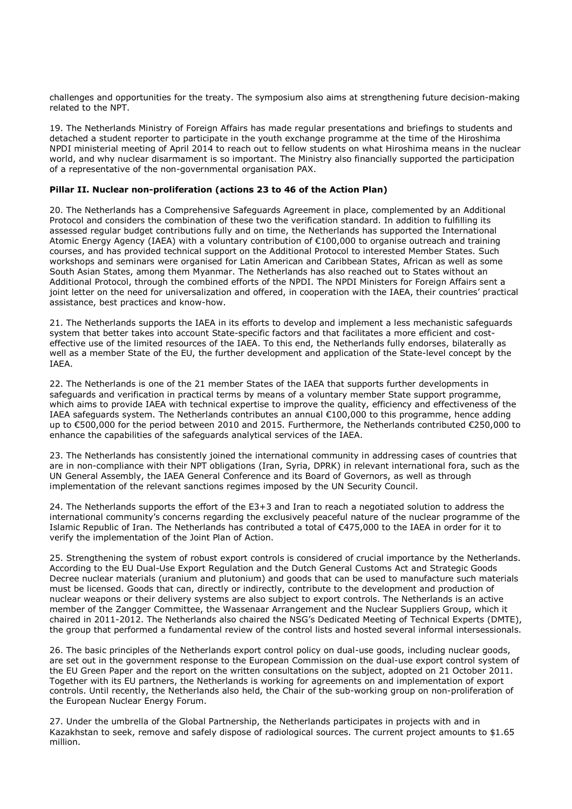challenges and opportunities for the treaty. The symposium also aims at strengthening future decision-making related to the NPT.

19. The Netherlands Ministry of Foreign Affairs has made regular presentations and briefings to students and detached a student reporter to participate in the youth exchange programme at the time of the Hiroshima NPDI ministerial meeting of April 2014 to reach out to fellow students on what Hiroshima means in the nuclear world, and why nuclear disarmament is so important. The Ministry also financially supported the participation of a representative of the non-governmental organisation PAX.

#### **Pillar II. Nuclear non-proliferation (actions 23 to 46 of the Action Plan)**

20. The Netherlands has a Comprehensive Safeguards Agreement in place, complemented by an Additional Protocol and considers the combination of these two the verification standard. In addition to fulfilling its assessed regular budget contributions fully and on time, the Netherlands has supported the International Atomic Energy Agency (IAEA) with a voluntary contribution of €100,000 to organise outreach and training courses, and has provided technical support on the Additional Protocol to interested Member States. Such workshops and seminars were organised for Latin American and Caribbean States, African as well as some South Asian States, among them Myanmar. The Netherlands has also reached out to States without an Additional Protocol, through the combined efforts of the NPDI. The NPDI Ministers for Foreign Affairs sent a joint letter on the need for universalization and offered, in cooperation with the IAEA, their countries' practical assistance, best practices and know-how.

21. The Netherlands supports the IAEA in its efforts to develop and implement a less mechanistic safeguards system that better takes into account State-specific factors and that facilitates a more efficient and costeffective use of the limited resources of the IAEA. To this end, the Netherlands fully endorses, bilaterally as well as a member State of the EU, the further development and application of the State-level concept by the IAEA.

22. The Netherlands is one of the 21 member States of the IAEA that supports further developments in safeguards and verification in practical terms by means of a voluntary member State support programme, which aims to provide IAEA with technical expertise to improve the quality, efficiency and effectiveness of the IAEA safeguards system. The Netherlands contributes an annual €100,000 to this programme, hence adding up to €500,000 for the period between 2010 and 2015. Furthermore, the Netherlands contributed €250,000 to enhance the capabilities of the safeguards analytical services of the IAEA.

23. The Netherlands has consistently joined the international community in addressing cases of countries that are in non-compliance with their NPT obligations (Iran, Syria, DPRK) in relevant international fora, such as the UN General Assembly, the IAEA General Conference and its Board of Governors, as well as through implementation of the relevant sanctions regimes imposed by the UN Security Council.

24. The Netherlands supports the effort of the E3+3 and Iran to reach a negotiated solution to address the international community's concerns regarding the exclusively peaceful nature of the nuclear programme of the Islamic Republic of Iran. The Netherlands has contributed a total of €475,000 to the IAEA in order for it to verify the implementation of the Joint Plan of Action.

25. Strengthening the system of robust export controls is considered of crucial importance by the Netherlands. According to the EU Dual-Use Export Regulation and the Dutch General Customs Act and Strategic Goods Decree nuclear materials (uranium and plutonium) and goods that can be used to manufacture such materials must be licensed. Goods that can, directly or indirectly, contribute to the development and production of nuclear weapons or their delivery systems are also subject to export controls. The Netherlands is an active member of the Zangger Committee, the Wassenaar Arrangement and the Nuclear Suppliers Group, which it chaired in 2011-2012. The Netherlands also chaired the NSG's Dedicated Meeting of Technical Experts (DMTE), the group that performed a fundamental review of the control lists and hosted several informal intersessionals.

26. The basic principles of the Netherlands export control policy on dual-use goods, including nuclear goods, are set out in the government response to the European Commission on the dual-use export control system of the EU Green Paper and the report on the written consultations on the subject, adopted on 21 October 2011. Together with its EU partners, the Netherlands is working for agreements on and implementation of export controls. Until recently, the Netherlands also held, the Chair of the sub-working group on non-proliferation of the European Nuclear Energy Forum.

27. Under the umbrella of the Global Partnership, the Netherlands participates in projects with and in Kazakhstan to seek, remove and safely dispose of radiological sources. The current project amounts to \$1.65 million.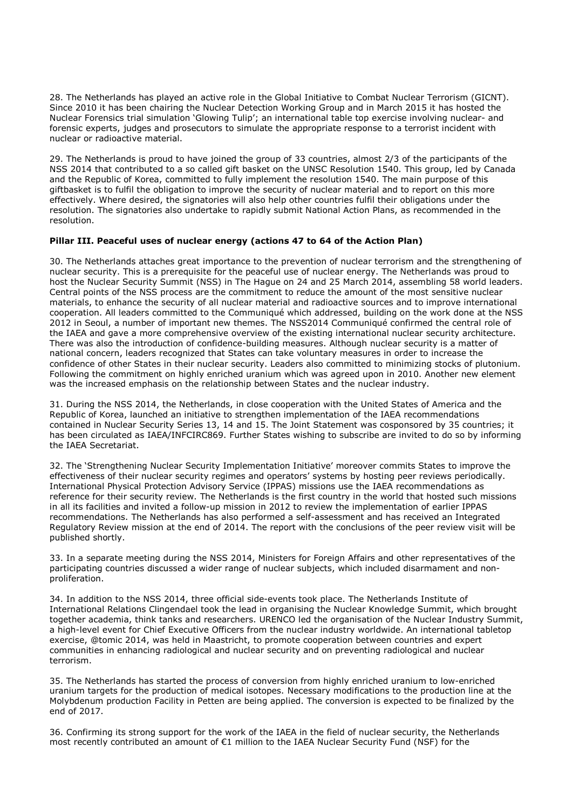28. The Netherlands has played an active role in the Global Initiative to Combat Nuclear Terrorism (GICNT). Since 2010 it has been chairing the Nuclear Detection Working Group and in March 2015 it has hosted the Nuclear Forensics trial simulation 'Glowing Tulip'; an international table top exercise involving nuclear- and forensic experts, judges and prosecutors to simulate the appropriate response to a terrorist incident with nuclear or radioactive material.

29. The Netherlands is proud to have joined the group of 33 countries, almost 2/3 of the participants of the NSS 2014 that contributed to a so called gift basket on the UNSC Resolution 1540. This group, led by Canada and the Republic of Korea, committed to fully implement the resolution 1540. The main purpose of this giftbasket is to fulfil the obligation to improve the security of nuclear material and to report on this more effectively. Where desired, the signatories will also help other countries fulfil their obligations under the resolution. The signatories also undertake to rapidly submit National Action Plans, as recommended in the resolution.

## **Pillar III. Peaceful uses of nuclear energy (actions 47 to 64 of the Action Plan)**

30. The Netherlands attaches great importance to the prevention of nuclear terrorism and the strengthening of nuclear security. This is a prerequisite for the peaceful use of nuclear energy. The Netherlands was proud to host the Nuclear Security Summit (NSS) in The Hague on 24 and 25 March 2014, assembling 58 world leaders. Central points of the NSS process are the commitment to reduce the amount of the most sensitive nuclear materials, to enhance the security of all nuclear material and radioactive sources and to improve international cooperation. All leaders committed to the Communiqué which addressed, building on the work done at the NSS 2012 in Seoul, a number of important new themes. The NSS2014 Communiqué confirmed the central role of the IAEA and gave a more comprehensive overview of the existing international nuclear security architecture. There was also the introduction of confidence-building measures. Although nuclear security is a matter of national concern, leaders recognized that States can take voluntary measures in order to increase the confidence of other States in their nuclear security. Leaders also committed to minimizing stocks of plutonium. Following the commitment on highly enriched uranium which was agreed upon in 2010. Another new element was the increased emphasis on the relationship between States and the nuclear industry.

31. During the NSS 2014, the Netherlands, in close cooperation with the United States of America and the Republic of Korea, launched an initiative to strengthen implementation of the IAEA recommendations contained in Nuclear Security Series 13, 14 and 15. The Joint Statement was cosponsored by 35 countries; it has been circulated as IAEA/INFCIRC869. Further States wishing to subscribe are invited to do so by informing the IAEA Secretariat.

32. The 'Strengthening Nuclear Security Implementation Initiative' moreover commits States to improve the effectiveness of their nuclear security regimes and operators' systems by hosting peer reviews periodically. International Physical Protection Advisory Service (IPPAS) missions use the IAEA recommendations as reference for their security review. The Netherlands is the first country in the world that hosted such missions in all its facilities and invited a follow-up mission in 2012 to review the implementation of earlier IPPAS recommendations. The Netherlands has also performed a self-assessment and has received an Integrated Regulatory Review mission at the end of 2014. The report with the conclusions of the peer review visit will be published shortly.

33. In a separate meeting during the NSS 2014, Ministers for Foreign Affairs and other representatives of the participating countries discussed a wider range of nuclear subjects, which included disarmament and nonproliferation.

34. In addition to the NSS 2014, three official side-events took place. The Netherlands Institute of International Relations Clingendael took the lead in organising the Nuclear Knowledge Summit, which brought together academia, think tanks and researchers. URENCO led the organisation of the Nuclear Industry Summit, a high-level event for Chief Executive Officers from the nuclear industry worldwide. An international tabletop exercise, @tomic 2014, was held in Maastricht, to promote cooperation between countries and expert communities in enhancing radiological and nuclear security and on preventing radiological and nuclear terrorism.

35. The Netherlands has started the process of conversion from highly enriched uranium to low-enriched uranium targets for the production of medical isotopes. Necessary modifications to the production line at the Molybdenum production Facility in Petten are being applied. The conversion is expected to be finalized by the end of 2017.

36. Confirming its strong support for the work of the IAEA in the field of nuclear security, the Netherlands most recently contributed an amount of €1 million to the IAEA Nuclear Security Fund (NSF) for the